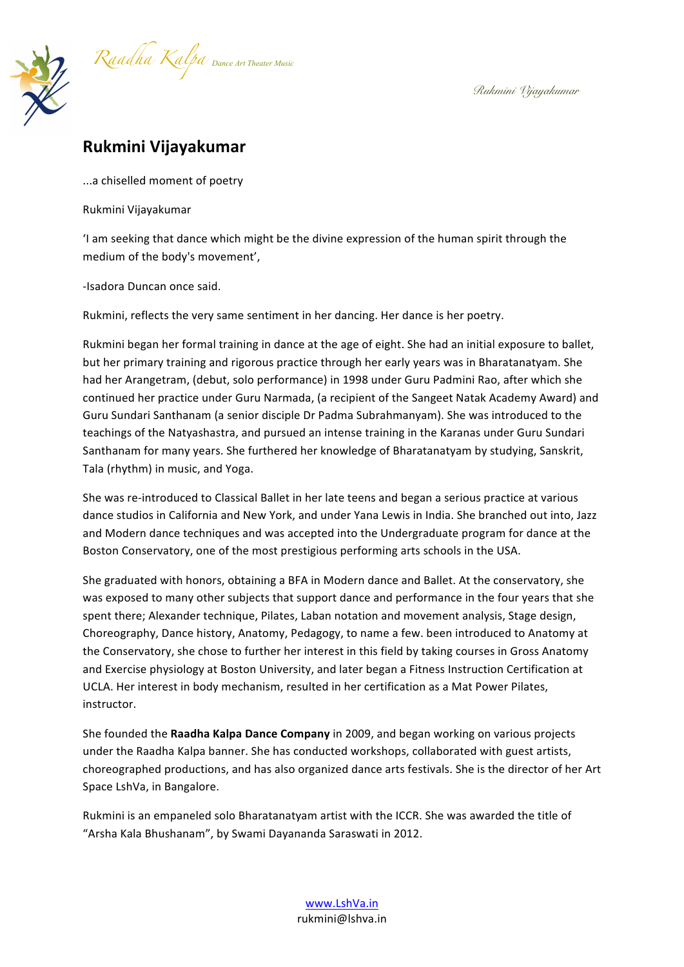

## **Rukmini Vijayakumar**

...a chiselled moment of poetry

Rukmini Vijayakumar

'I am seeking that dance which might be the divine expression of the human spirit through the medium of the body's movement',

-Isadora Duncan once said.

Rukmini, reflects the very same sentiment in her dancing. Her dance is her poetry.

Rukmini began her formal training in dance at the age of eight. She had an initial exposure to ballet, but her primary training and rigorous practice through her early years was in Bharatanatyam. She had her Arangetram, (debut, solo performance) in 1998 under Guru Padmini Rao, after which she continued her practice under Guru Narmada, (a recipient of the Sangeet Natak Academy Award) and Guru Sundari Santhanam (a senior disciple Dr Padma Subrahmanyam). She was introduced to the teachings of the Natyashastra, and pursued an intense training in the Karanas under Guru Sundari Santhanam for many years. She furthered her knowledge of Bharatanatyam by studying, Sanskrit, Tala (rhythm) in music, and Yoga.

She was re-introduced to Classical Ballet in her late teens and began a serious practice at various dance studios in California and New York, and under Yana Lewis in India. She branched out into, Jazz and Modern dance techniques and was accepted into the Undergraduate program for dance at the Boston Conservatory, one of the most prestigious performing arts schools in the USA.

She graduated with honors, obtaining a BFA in Modern dance and Ballet. At the conservatory, she was exposed to many other subjects that support dance and performance in the four years that she spent there; Alexander technique, Pilates, Laban notation and movement analysis, Stage design, Choreography, Dance history, Anatomy, Pedagogy, to name a few. been introduced to Anatomy at the Conservatory, she chose to further her interest in this field by taking courses in Gross Anatomy and Exercise physiology at Boston University, and later began a Fitness Instruction Certification at UCLA. Her interest in body mechanism, resulted in her certification as a Mat Power Pilates, instructor. 

She founded the Raadha Kalpa Dance Company in 2009, and began working on various projects under the Raadha Kalpa banner. She has conducted workshops, collaborated with guest artists, choreographed productions, and has also organized dance arts festivals. She is the director of her Art Space LshVa, in Bangalore.

Rukmini is an empaneled solo Bharatanatyam artist with the ICCR. She was awarded the title of "Arsha Kala Bhushanam", by Swami Dayananda Saraswati in 2012.

> www.LshVa.in rukmini@lshva.in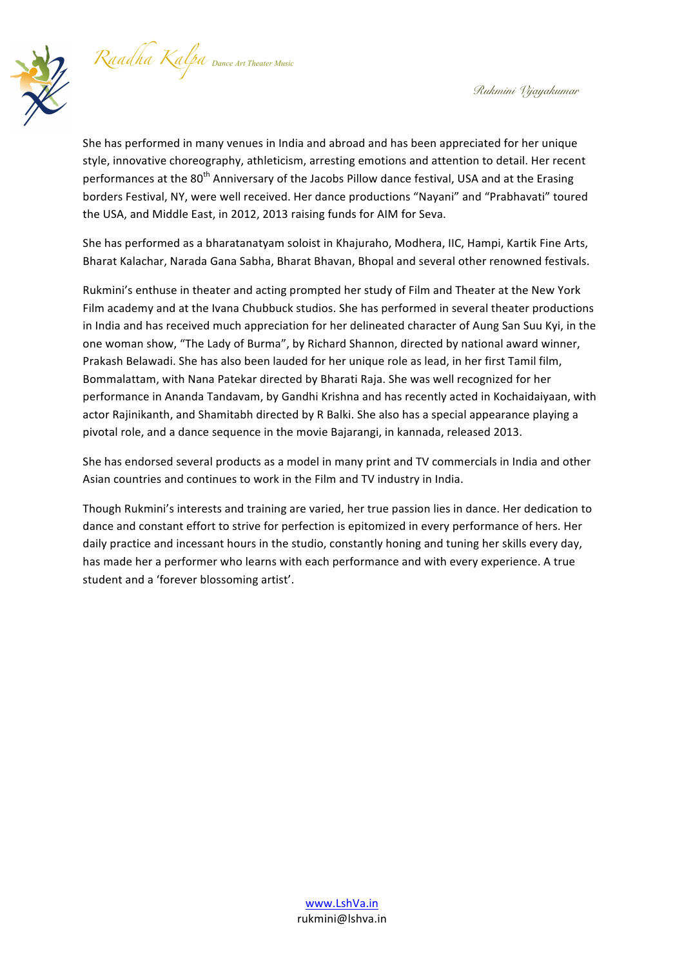*Raadha Kalpa Dance Art Theater Music* 



She has performed in many venues in India and abroad and has been appreciated for her unique style, innovative choreography, athleticism, arresting emotions and attention to detail. Her recent performances at the 80<sup>th</sup> Anniversary of the Jacobs Pillow dance festival, USA and at the Erasing borders Festival, NY, were well received. Her dance productions "Nayani" and "Prabhavati" toured the USA, and Middle East, in 2012, 2013 raising funds for AIM for Seva.

She has performed as a bharatanatyam soloist in Khajuraho, Modhera, IIC, Hampi, Kartik Fine Arts, Bharat Kalachar, Narada Gana Sabha, Bharat Bhavan, Bhopal and several other renowned festivals.

Rukmini's enthuse in theater and acting prompted her study of Film and Theater at the New York Film academy and at the Ivana Chubbuck studios. She has performed in several theater productions in India and has received much appreciation for her delineated character of Aung San Suu Kyi, in the one woman show, "The Lady of Burma", by Richard Shannon, directed by national award winner, Prakash Belawadi. She has also been lauded for her unique role as lead, in her first Tamil film, Bommalattam, with Nana Patekar directed by Bharati Raja. She was well recognized for her performance in Ananda Tandavam, by Gandhi Krishna and has recently acted in Kochaidaiyaan, with actor Rajinikanth, and Shamitabh directed by R Balki. She also has a special appearance playing a pivotal role, and a dance sequence in the movie Bajarangi, in kannada, released 2013.

She has endorsed several products as a model in many print and TV commercials in India and other Asian countries and continues to work in the Film and TV industry in India.

Though Rukmini's interests and training are varied, her true passion lies in dance. Her dedication to dance and constant effort to strive for perfection is epitomized in every performance of hers. Her daily practice and incessant hours in the studio, constantly honing and tuning her skills every day, has made her a performer who learns with each performance and with every experience. A true student and a 'forever blossoming artist'.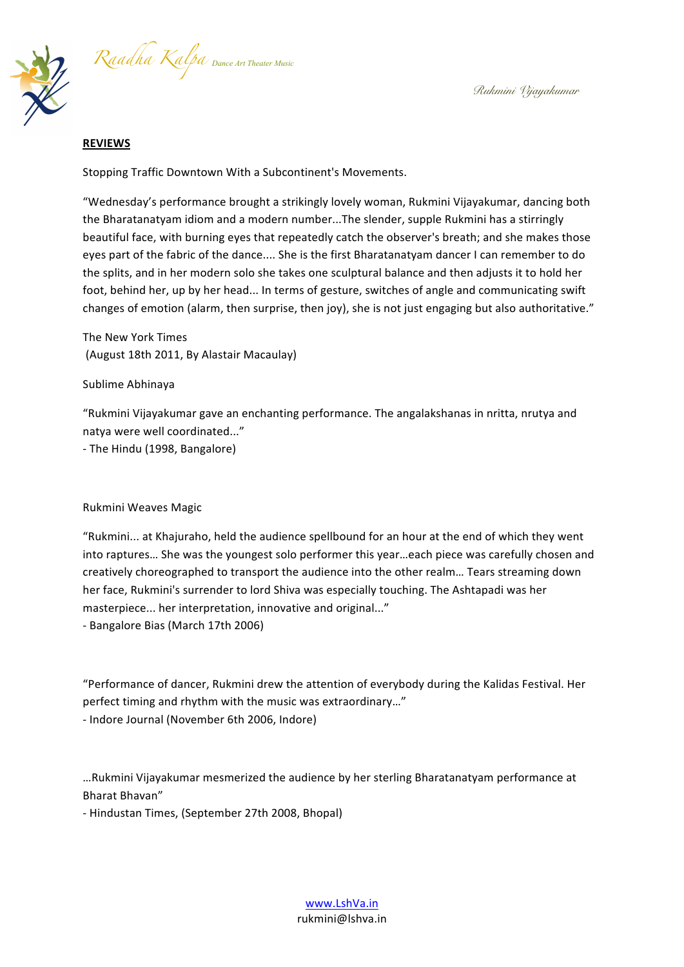*Raadha Kalpa Dance Art Theater Music* 

## **REVIEWS**

Stopping Traffic Downtown With a Subcontinent's Movements.

"Wednesday's performance brought a strikingly lovely woman, Rukmini Vijayakumar, dancing both the Bharatanatyam idiom and a modern number...The slender, supple Rukmini has a stirringly beautiful face, with burning eyes that repeatedly catch the observer's breath; and she makes those eyes part of the fabric of the dance.... She is the first Bharatanatyam dancer I can remember to do the splits, and in her modern solo she takes one sculptural balance and then adjusts it to hold her foot, behind her, up by her head... In terms of gesture, switches of angle and communicating swift changes of emotion (alarm, then surprise, then joy), she is not just engaging but also authoritative."

The New York Times (August 18th 2011, By Alastair Macaulay)

Sublime Abhinaya

"Rukmini Vijayakumar gave an enchanting performance. The angalakshanas in nritta, nrutya and natya were well coordinated..."

- The Hindu (1998, Bangalore)

## Rukmini Weaves Magic

"Rukmini... at Khajuraho, held the audience spellbound for an hour at the end of which they went into raptures... She was the youngest solo performer this year...each piece was carefully chosen and creatively choreographed to transport the audience into the other realm... Tears streaming down her face, Rukmini's surrender to lord Shiva was especially touching. The Ashtapadi was her masterpiece... her interpretation, innovative and original..."

- Bangalore Bias (March 17th 2006)

"Performance of dancer, Rukmini drew the attention of everybody during the Kalidas Festival. Her perfect timing and rhythm with the music was extraordinary..." - Indore Journal (November 6th 2006, Indore)

…Rukmini Vijayakumar mesmerized the audience by her sterling Bharatanatyam performance at Bharat Bhavan"

- Hindustan Times, (September 27th 2008, Bhopal)

www.LshVa.in rukmini@lshva.in